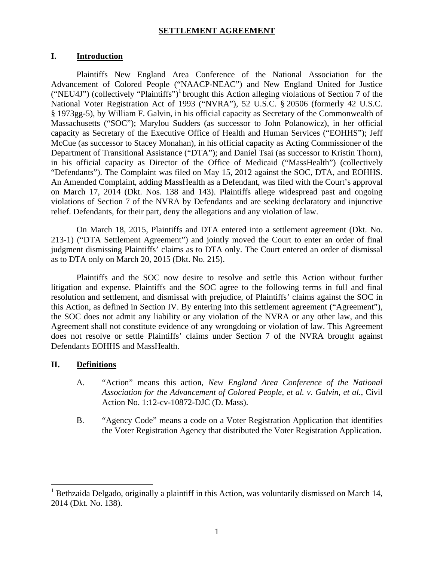### **I. Introduction**

Plaintiffs New England Area Conference of the National Association for the Advancement of Colored People ("NAACP-NEAC") and New England United for Justice ("NEU4J") (collectively "Plaintiffs")1 brought this Action alleging violations of Section 7 of the National Voter Registration Act of 1993 ("NVRA"), 52 U.S.C. § 20506 (formerly 42 U.S.C. § 1973gg-5), by William F. Galvin, in his official capacity as Secretary of the Commonwealth of Massachusetts ("SOC"); Marylou Sudders (as successor to John Polanowicz), in her official capacity as Secretary of the Executive Office of Health and Human Services ("EOHHS"); Jeff McCue (as successor to Stacey Monahan), in his official capacity as Acting Commissioner of the Department of Transitional Assistance ("DTA"); and Daniel Tsai (as successor to Kristin Thorn), in his official capacity as Director of the Office of Medicaid ("MassHealth") (collectively "Defendants"). The Complaint was filed on May 15, 2012 against the SOC, DTA, and EOHHS. An Amended Complaint, adding MassHealth as a Defendant, was filed with the Court's approval on March 17, 2014 (Dkt. Nos. 138 and 143). Plaintiffs allege widespread past and ongoing violations of Section 7 of the NVRA by Defendants and are seeking declaratory and injunctive relief. Defendants, for their part, deny the allegations and any violation of law.

On March 18, 2015, Plaintiffs and DTA entered into a settlement agreement (Dkt. No. 213-1) ("DTA Settlement Agreement") and jointly moved the Court to enter an order of final judgment dismissing Plaintiffs' claims as to DTA only. The Court entered an order of dismissal as to DTA only on March 20, 2015 (Dkt. No. 215).

Plaintiffs and the SOC now desire to resolve and settle this Action without further litigation and expense. Plaintiffs and the SOC agree to the following terms in full and final resolution and settlement, and dismissal with prejudice, of Plaintiffs' claims against the SOC in this Action, as defined in Section IV. By entering into this settlement agreement ("Agreement"), the SOC does not admit any liability or any violation of the NVRA or any other law, and this Agreement shall not constitute evidence of any wrongdoing or violation of law. This Agreement does not resolve or settle Plaintiffs' claims under Section 7 of the NVRA brought against Defendants EOHHS and MassHealth.

### **II. Definitions**

1

- A. "Action" means this action, *New England Area Conference of the National Association for the Advancement of Colored People, et al. v. Galvin, et al.*, Civil Action No. 1:12-cv-10872-DJC (D. Mass).
- B. "Agency Code" means a code on a Voter Registration Application that identifies the Voter Registration Agency that distributed the Voter Registration Application.

<sup>&</sup>lt;sup>1</sup> Bethzaida Delgado, originally a plaintiff in this Action, was voluntarily dismissed on March 14, 2014 (Dkt. No. 138).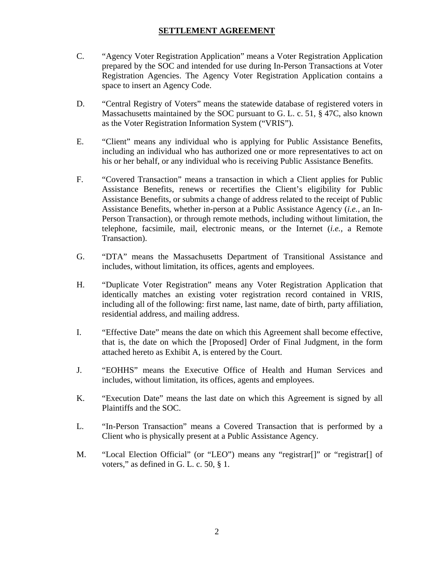- C. "Agency Voter Registration Application" means a Voter Registration Application prepared by the SOC and intended for use during In-Person Transactions at Voter Registration Agencies. The Agency Voter Registration Application contains a space to insert an Agency Code.
- D. "Central Registry of Voters" means the statewide database of registered voters in Massachusetts maintained by the SOC pursuant to G. L. c. 51, § 47C, also known as the Voter Registration Information System ("VRIS").
- E. "Client" means any individual who is applying for Public Assistance Benefits, including an individual who has authorized one or more representatives to act on his or her behalf, or any individual who is receiving Public Assistance Benefits.
- F. "Covered Transaction" means a transaction in which a Client applies for Public Assistance Benefits, renews or recertifies the Client's eligibility for Public Assistance Benefits, or submits a change of address related to the receipt of Public Assistance Benefits, whether in-person at a Public Assistance Agency (*i.e.*, an In-Person Transaction), or through remote methods, including without limitation, the telephone, facsimile, mail, electronic means, or the Internet (*i.e.*, a Remote Transaction).
- G. "DTA" means the Massachusetts Department of Transitional Assistance and includes, without limitation, its offices, agents and employees.
- H. "Duplicate Voter Registration" means any Voter Registration Application that identically matches an existing voter registration record contained in VRIS, including all of the following: first name, last name, date of birth, party affiliation, residential address, and mailing address.
- I. "Effective Date" means the date on which this Agreement shall become effective, that is, the date on which the [Proposed] Order of Final Judgment, in the form attached hereto as Exhibit A, is entered by the Court.
- J. "EOHHS" means the Executive Office of Health and Human Services and includes, without limitation, its offices, agents and employees.
- K. "Execution Date" means the last date on which this Agreement is signed by all Plaintiffs and the SOC.
- L. "In-Person Transaction" means a Covered Transaction that is performed by a Client who is physically present at a Public Assistance Agency.
- M. "Local Election Official" (or "LEO") means any "registrar[]" or "registrar[] of voters," as defined in G. L. c. 50, § 1.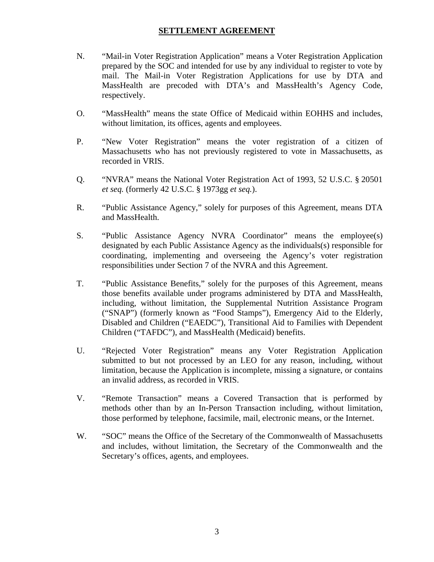- N. "Mail-in Voter Registration Application" means a Voter Registration Application prepared by the SOC and intended for use by any individual to register to vote by mail. The Mail-in Voter Registration Applications for use by DTA and MassHealth are precoded with DTA's and MassHealth's Agency Code, respectively.
- O. "MassHealth" means the state Office of Medicaid within EOHHS and includes, without limitation, its offices, agents and employees.
- P. "New Voter Registration" means the voter registration of a citizen of Massachusetts who has not previously registered to vote in Massachusetts, as recorded in VRIS.
- Q. "NVRA" means the National Voter Registration Act of 1993, 52 U.S.C. § 20501 *et seq.* (formerly 42 U.S.C. § 1973gg *et seq.*).
- R. "Public Assistance Agency," solely for purposes of this Agreement, means DTA and MassHealth.
- S. "Public Assistance Agency NVRA Coordinator" means the employee(s) designated by each Public Assistance Agency as the individuals(s) responsible for coordinating, implementing and overseeing the Agency's voter registration responsibilities under Section 7 of the NVRA and this Agreement.
- T. "Public Assistance Benefits," solely for the purposes of this Agreement, means those benefits available under programs administered by DTA and MassHealth, including, without limitation, the Supplemental Nutrition Assistance Program ("SNAP") (formerly known as "Food Stamps"), Emergency Aid to the Elderly, Disabled and Children ("EAEDC"), Transitional Aid to Families with Dependent Children ("TAFDC"), and MassHealth (Medicaid) benefits.
- U. "Rejected Voter Registration" means any Voter Registration Application submitted to but not processed by an LEO for any reason, including, without limitation, because the Application is incomplete, missing a signature, or contains an invalid address, as recorded in VRIS.
- V. "Remote Transaction" means a Covered Transaction that is performed by methods other than by an In-Person Transaction including, without limitation, those performed by telephone, facsimile, mail, electronic means, or the Internet.
- W. "SOC" means the Office of the Secretary of the Commonwealth of Massachusetts and includes, without limitation, the Secretary of the Commonwealth and the Secretary's offices, agents, and employees.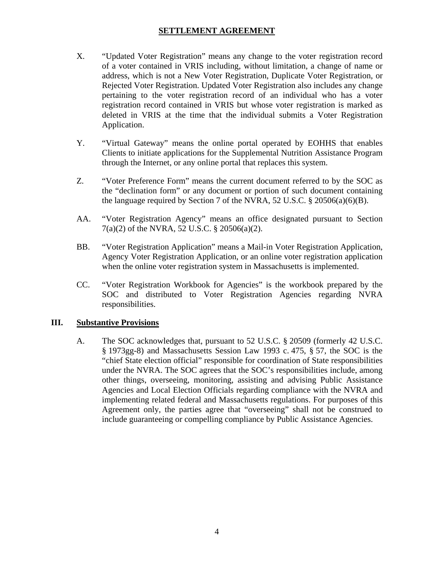- X. "Updated Voter Registration" means any change to the voter registration record of a voter contained in VRIS including, without limitation, a change of name or address, which is not a New Voter Registration, Duplicate Voter Registration, or Rejected Voter Registration. Updated Voter Registration also includes any change pertaining to the voter registration record of an individual who has a voter registration record contained in VRIS but whose voter registration is marked as deleted in VRIS at the time that the individual submits a Voter Registration Application.
- Y. "Virtual Gateway" means the online portal operated by EOHHS that enables Clients to initiate applications for the Supplemental Nutrition Assistance Program through the Internet, or any online portal that replaces this system.
- Z. "Voter Preference Form" means the current document referred to by the SOC as the "declination form" or any document or portion of such document containing the language required by Section 7 of the NVRA, 52 U.S.C.  $\S$  20506(a)(6)(B).
- AA. "Voter Registration Agency" means an office designated pursuant to Section 7(a)(2) of the NVRA, 52 U.S.C. § 20506(a)(2).
- BB. "Voter Registration Application" means a Mail-in Voter Registration Application, Agency Voter Registration Application, or an online voter registration application when the online voter registration system in Massachusetts is implemented.
- CC. "Voter Registration Workbook for Agencies" is the workbook prepared by the SOC and distributed to Voter Registration Agencies regarding NVRA responsibilities.

### **III. Substantive Provisions**

A. The SOC acknowledges that, pursuant to 52 U.S.C. § 20509 (formerly 42 U.S.C. § 1973gg-8) and Massachusetts Session Law 1993 c. 475, § 57, the SOC is the "chief State election official" responsible for coordination of State responsibilities under the NVRA. The SOC agrees that the SOC's responsibilities include, among other things, overseeing, monitoring, assisting and advising Public Assistance Agencies and Local Election Officials regarding compliance with the NVRA and implementing related federal and Massachusetts regulations. For purposes of this Agreement only, the parties agree that "overseeing" shall not be construed to include guaranteeing or compelling compliance by Public Assistance Agencies.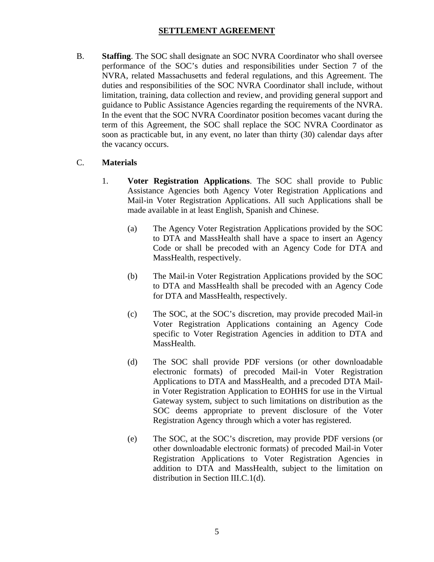B. **Staffing**. The SOC shall designate an SOC NVRA Coordinator who shall oversee performance of the SOC's duties and responsibilities under Section 7 of the NVRA, related Massachusetts and federal regulations, and this Agreement. The duties and responsibilities of the SOC NVRA Coordinator shall include, without limitation, training, data collection and review, and providing general support and guidance to Public Assistance Agencies regarding the requirements of the NVRA. In the event that the SOC NVRA Coordinator position becomes vacant during the term of this Agreement, the SOC shall replace the SOC NVRA Coordinator as soon as practicable but, in any event, no later than thirty (30) calendar days after the vacancy occurs.

### C. **Materials**

- 1. **Voter Registration Applications**. The SOC shall provide to Public Assistance Agencies both Agency Voter Registration Applications and Mail-in Voter Registration Applications. All such Applications shall be made available in at least English, Spanish and Chinese.
	- (a) The Agency Voter Registration Applications provided by the SOC to DTA and MassHealth shall have a space to insert an Agency Code or shall be precoded with an Agency Code for DTA and MassHealth, respectively.
	- (b) The Mail-in Voter Registration Applications provided by the SOC to DTA and MassHealth shall be precoded with an Agency Code for DTA and MassHealth, respectively.
	- (c) The SOC, at the SOC's discretion, may provide precoded Mail-in Voter Registration Applications containing an Agency Code specific to Voter Registration Agencies in addition to DTA and MassHealth.
	- (d) The SOC shall provide PDF versions (or other downloadable electronic formats) of precoded Mail-in Voter Registration Applications to DTA and MassHealth, and a precoded DTA Mailin Voter Registration Application to EOHHS for use in the Virtual Gateway system, subject to such limitations on distribution as the SOC deems appropriate to prevent disclosure of the Voter Registration Agency through which a voter has registered.
	- (e) The SOC, at the SOC's discretion, may provide PDF versions (or other downloadable electronic formats) of precoded Mail-in Voter Registration Applications to Voter Registration Agencies in addition to DTA and MassHealth, subject to the limitation on distribution in Section III.C.1(d).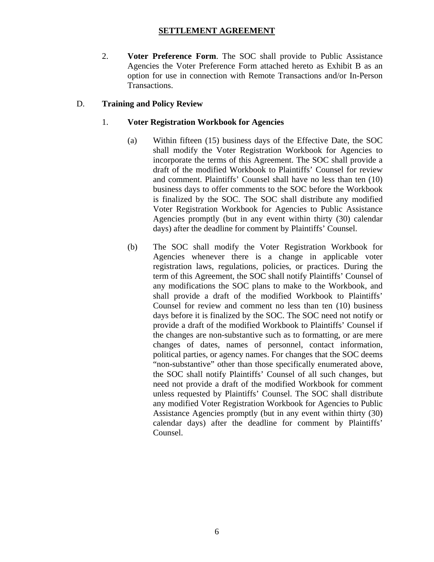2. **Voter Preference Form**. The SOC shall provide to Public Assistance Agencies the Voter Preference Form attached hereto as Exhibit B as an option for use in connection with Remote Transactions and/or In-Person Transactions.

# D. **Training and Policy Review**

## 1. **Voter Registration Workbook for Agencies**

- (a) Within fifteen (15) business days of the Effective Date, the SOC shall modify the Voter Registration Workbook for Agencies to incorporate the terms of this Agreement. The SOC shall provide a draft of the modified Workbook to Plaintiffs' Counsel for review and comment. Plaintiffs' Counsel shall have no less than ten (10) business days to offer comments to the SOC before the Workbook is finalized by the SOC. The SOC shall distribute any modified Voter Registration Workbook for Agencies to Public Assistance Agencies promptly (but in any event within thirty (30) calendar days) after the deadline for comment by Plaintiffs' Counsel.
- (b) The SOC shall modify the Voter Registration Workbook for Agencies whenever there is a change in applicable voter registration laws, regulations, policies, or practices. During the term of this Agreement, the SOC shall notify Plaintiffs' Counsel of any modifications the SOC plans to make to the Workbook, and shall provide a draft of the modified Workbook to Plaintiffs' Counsel for review and comment no less than ten (10) business days before it is finalized by the SOC. The SOC need not notify or provide a draft of the modified Workbook to Plaintiffs' Counsel if the changes are non-substantive such as to formatting, or are mere changes of dates, names of personnel, contact information, political parties, or agency names. For changes that the SOC deems "non-substantive" other than those specifically enumerated above, the SOC shall notify Plaintiffs' Counsel of all such changes, but need not provide a draft of the modified Workbook for comment unless requested by Plaintiffs' Counsel. The SOC shall distribute any modified Voter Registration Workbook for Agencies to Public Assistance Agencies promptly (but in any event within thirty (30) calendar days) after the deadline for comment by Plaintiffs' Counsel.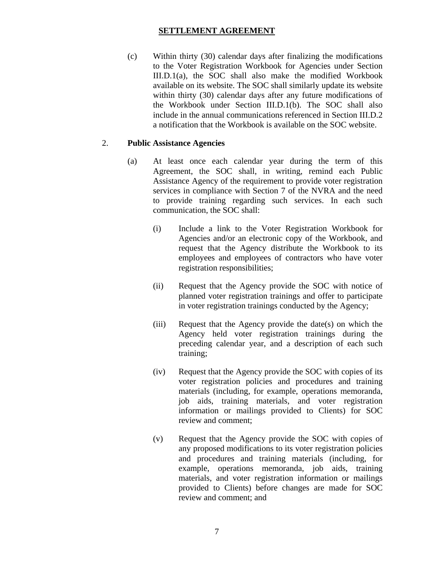(c) Within thirty (30) calendar days after finalizing the modifications to the Voter Registration Workbook for Agencies under Section III.D.1(a), the SOC shall also make the modified Workbook available on its website. The SOC shall similarly update its website within thirty (30) calendar days after any future modifications of the Workbook under Section III.D.1(b). The SOC shall also include in the annual communications referenced in Section III.D.2 a notification that the Workbook is available on the SOC website.

#### 2. **Public Assistance Agencies**

- (a) At least once each calendar year during the term of this Agreement, the SOC shall, in writing, remind each Public Assistance Agency of the requirement to provide voter registration services in compliance with Section 7 of the NVRA and the need to provide training regarding such services. In each such communication, the SOC shall:
	- (i) Include a link to the Voter Registration Workbook for Agencies and/or an electronic copy of the Workbook, and request that the Agency distribute the Workbook to its employees and employees of contractors who have voter registration responsibilities;
	- (ii) Request that the Agency provide the SOC with notice of planned voter registration trainings and offer to participate in voter registration trainings conducted by the Agency;
	- (iii) Request that the Agency provide the date(s) on which the Agency held voter registration trainings during the preceding calendar year, and a description of each such training;
	- (iv) Request that the Agency provide the SOC with copies of its voter registration policies and procedures and training materials (including, for example, operations memoranda, job aids, training materials, and voter registration information or mailings provided to Clients) for SOC review and comment;
	- (v) Request that the Agency provide the SOC with copies of any proposed modifications to its voter registration policies and procedures and training materials (including, for example, operations memoranda, job aids, training materials, and voter registration information or mailings provided to Clients) before changes are made for SOC review and comment; and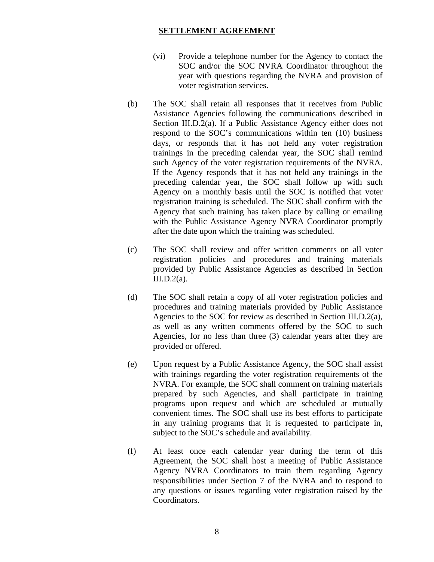- (vi) Provide a telephone number for the Agency to contact the SOC and/or the SOC NVRA Coordinator throughout the year with questions regarding the NVRA and provision of voter registration services.
- (b) The SOC shall retain all responses that it receives from Public Assistance Agencies following the communications described in Section III.D.2(a). If a Public Assistance Agency either does not respond to the SOC's communications within ten (10) business days, or responds that it has not held any voter registration trainings in the preceding calendar year, the SOC shall remind such Agency of the voter registration requirements of the NVRA. If the Agency responds that it has not held any trainings in the preceding calendar year, the SOC shall follow up with such Agency on a monthly basis until the SOC is notified that voter registration training is scheduled. The SOC shall confirm with the Agency that such training has taken place by calling or emailing with the Public Assistance Agency NVRA Coordinator promptly after the date upon which the training was scheduled.
- (c) The SOC shall review and offer written comments on all voter registration policies and procedures and training materials provided by Public Assistance Agencies as described in Section  $III.D.2(a)$ .
- (d) The SOC shall retain a copy of all voter registration policies and procedures and training materials provided by Public Assistance Agencies to the SOC for review as described in Section III.D.2(a), as well as any written comments offered by the SOC to such Agencies, for no less than three (3) calendar years after they are provided or offered.
- (e) Upon request by a Public Assistance Agency, the SOC shall assist with trainings regarding the voter registration requirements of the NVRA. For example, the SOC shall comment on training materials prepared by such Agencies, and shall participate in training programs upon request and which are scheduled at mutually convenient times. The SOC shall use its best efforts to participate in any training programs that it is requested to participate in, subject to the SOC's schedule and availability.
- (f) At least once each calendar year during the term of this Agreement, the SOC shall host a meeting of Public Assistance Agency NVRA Coordinators to train them regarding Agency responsibilities under Section 7 of the NVRA and to respond to any questions or issues regarding voter registration raised by the Coordinators.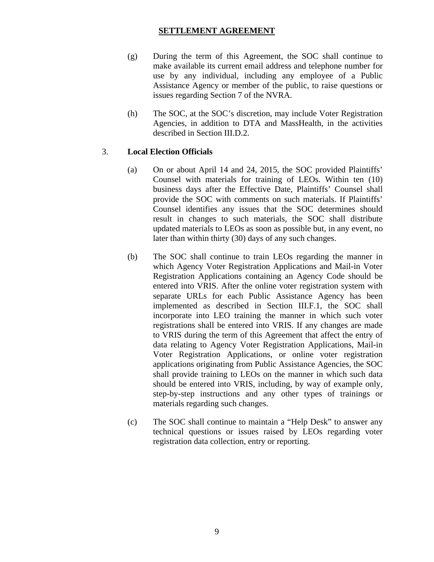- (g) During the term of this Agreement, the SOC shall continue to make available its current email address and telephone number for use by any individual, including any employee of a Public Assistance Agency or member of the public, to raise questions or issues regarding Section 7 of the NVRA.
- (h) The SOC, at the SOC's discretion, may include Voter Registration Agencies, in addition to DTA and MassHealth, in the activities described in Section III.D.2.

#### 3. **Local Election Officials**

- (a) On or about April 14 and 24, 2015, the SOC provided Plaintiffs' Counsel with materials for training of LEOs. Within ten (10) business days after the Effective Date, Plaintiffs' Counsel shall provide the SOC with comments on such materials. If Plaintiffs' Counsel identifies any issues that the SOC determines should result in changes to such materials, the SOC shall distribute updated materials to LEOs as soon as possible but, in any event, no later than within thirty (30) days of any such changes.
- (b) The SOC shall continue to train LEOs regarding the manner in which Agency Voter Registration Applications and Mail-in Voter Registration Applications containing an Agency Code should be entered into VRIS. After the online voter registration system with separate URLs for each Public Assistance Agency has been implemented as described in Section III.F.1, the SOC shall incorporate into LEO training the manner in which such voter registrations shall be entered into VRIS. If any changes are made to VRIS during the term of this Agreement that affect the entry of data relating to Agency Voter Registration Applications, Mail-in Voter Registration Applications, or online voter registration applications originating from Public Assistance Agencies, the SOC shall provide training to LEOs on the manner in which such data should be entered into VRIS, including, by way of example only, step-by-step instructions and any other types of trainings or materials regarding such changes.
- (c) The SOC shall continue to maintain a "Help Desk" to answer any technical questions or issues raised by LEOs regarding voter registration data collection, entry or reporting.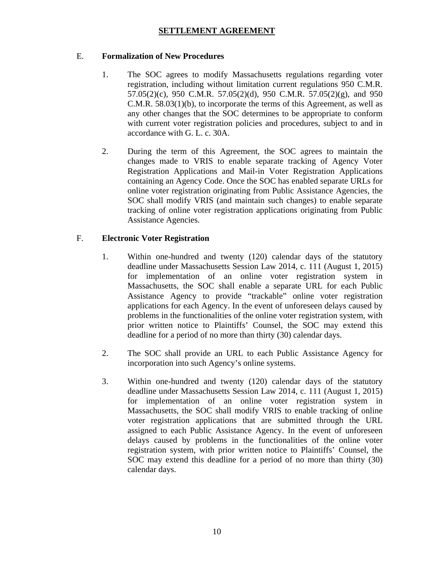#### E. **Formalization of New Procedures**

- 1. The SOC agrees to modify Massachusetts regulations regarding voter registration, including without limitation current regulations 950 C.M.R. 57.05(2)(c), 950 C.M.R. 57.05(2)(d), 950 C.M.R. 57.05(2)(g), and 950 C.M.R. 58.03(1)(b), to incorporate the terms of this Agreement, as well as any other changes that the SOC determines to be appropriate to conform with current voter registration policies and procedures, subject to and in accordance with G. L. c. 30A.
- 2. During the term of this Agreement, the SOC agrees to maintain the changes made to VRIS to enable separate tracking of Agency Voter Registration Applications and Mail-in Voter Registration Applications containing an Agency Code. Once the SOC has enabled separate URLs for online voter registration originating from Public Assistance Agencies, the SOC shall modify VRIS (and maintain such changes) to enable separate tracking of online voter registration applications originating from Public Assistance Agencies.

#### F. **Electronic Voter Registration**

- 1. Within one-hundred and twenty (120) calendar days of the statutory deadline under Massachusetts Session Law 2014, c. 111 (August 1, 2015) for implementation of an online voter registration system in Massachusetts, the SOC shall enable a separate URL for each Public Assistance Agency to provide "trackable" online voter registration applications for each Agency. In the event of unforeseen delays caused by problems in the functionalities of the online voter registration system, with prior written notice to Plaintiffs' Counsel, the SOC may extend this deadline for a period of no more than thirty (30) calendar days.
- 2. The SOC shall provide an URL to each Public Assistance Agency for incorporation into such Agency's online systems.
- 3. Within one-hundred and twenty (120) calendar days of the statutory deadline under Massachusetts Session Law 2014, c. 111 (August 1, 2015) for implementation of an online voter registration system in Massachusetts, the SOC shall modify VRIS to enable tracking of online voter registration applications that are submitted through the URL assigned to each Public Assistance Agency. In the event of unforeseen delays caused by problems in the functionalities of the online voter registration system, with prior written notice to Plaintiffs' Counsel, the SOC may extend this deadline for a period of no more than thirty (30) calendar days.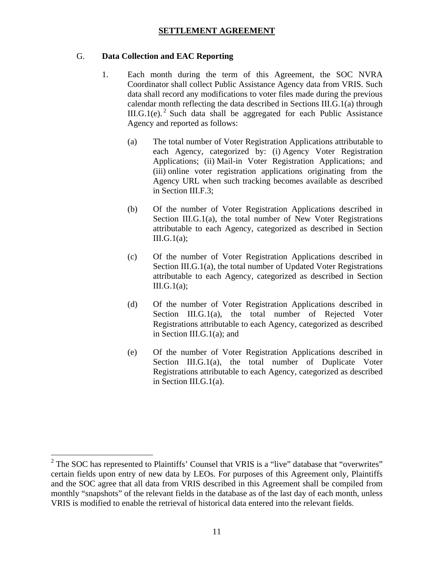#### G. **Data Collection and EAC Reporting**

- 1. Each month during the term of this Agreement, the SOC NVRA Coordinator shall collect Public Assistance Agency data from VRIS. Such data shall record any modifications to voter files made during the previous calendar month reflecting the data described in Sections III.G.1(a) through  $III.G.1(e).$ <sup>2</sup> Such data shall be aggregated for each Public Assistance Agency and reported as follows:
	- (a) The total number of Voter Registration Applications attributable to each Agency, categorized by: (i) Agency Voter Registration Applications; (ii) Mail-in Voter Registration Applications; and (iii) online voter registration applications originating from the Agency URL when such tracking becomes available as described in Section III.F.3;
	- (b) Of the number of Voter Registration Applications described in Section III.G.1(a), the total number of New Voter Registrations attributable to each Agency, categorized as described in Section  $III.G.1(a);$
	- (c) Of the number of Voter Registration Applications described in Section III.G.1(a), the total number of Updated Voter Registrations attributable to each Agency, categorized as described in Section  $III.G.1(a)$ ;
	- (d) Of the number of Voter Registration Applications described in Section III.G.1(a), the total number of Rejected Voter Registrations attributable to each Agency, categorized as described in Section III.G.1(a); and
	- (e) Of the number of Voter Registration Applications described in Section III.G.1(a), the total number of Duplicate Voter Registrations attributable to each Agency, categorized as described in Section III.G.1(a).

<u>.</u>

 $2^2$  The SOC has represented to Plaintiffs' Counsel that VRIS is a "live" database that "overwrites" certain fields upon entry of new data by LEOs. For purposes of this Agreement only, Plaintiffs and the SOC agree that all data from VRIS described in this Agreement shall be compiled from monthly "snapshots" of the relevant fields in the database as of the last day of each month, unless VRIS is modified to enable the retrieval of historical data entered into the relevant fields.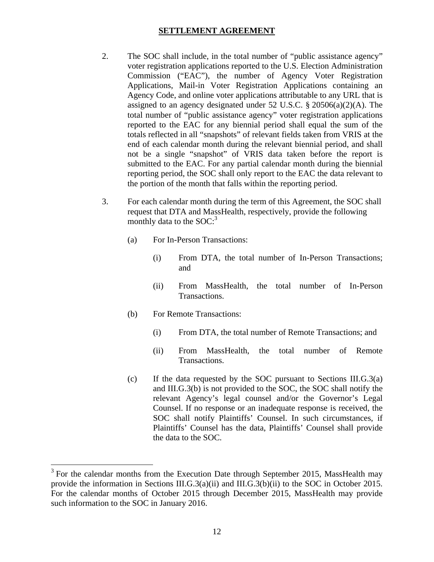- 2. The SOC shall include, in the total number of "public assistance agency" voter registration applications reported to the U.S. Election Administration Commission ("EAC"), the number of Agency Voter Registration Applications, Mail-in Voter Registration Applications containing an Agency Code, and online voter applications attributable to any URL that is assigned to an agency designated under 52 U.S.C. § 20506(a)(2)(A). The total number of "public assistance agency" voter registration applications reported to the EAC for any biennial period shall equal the sum of the totals reflected in all "snapshots" of relevant fields taken from VRIS at the end of each calendar month during the relevant biennial period, and shall not be a single "snapshot" of VRIS data taken before the report is submitted to the EAC. For any partial calendar month during the biennial reporting period, the SOC shall only report to the EAC the data relevant to the portion of the month that falls within the reporting period.
- 3. For each calendar month during the term of this Agreement, the SOC shall request that DTA and MassHealth, respectively, provide the following monthly data to the  $SOC$ :<sup>3</sup>
	- (a) For In-Person Transactions:
		- (i) From DTA, the total number of In-Person Transactions; and
		- (ii) From MassHealth, the total number of In-Person Transactions.
	- (b) For Remote Transactions:

 $\overline{a}$ 

- (i) From DTA, the total number of Remote Transactions; and
- (ii) From MassHealth, the total number of Remote Transactions.
- (c) If the data requested by the SOC pursuant to Sections III.G.3(a) and III.G.3(b) is not provided to the SOC, the SOC shall notify the relevant Agency's legal counsel and/or the Governor's Legal Counsel. If no response or an inadequate response is received, the SOC shall notify Plaintiffs' Counsel. In such circumstances, if Plaintiffs' Counsel has the data, Plaintiffs' Counsel shall provide the data to the SOC.

 $3$  For the calendar months from the Execution Date through September 2015, MassHealth may provide the information in Sections III.G.3(a)(ii) and III.G.3(b)(ii) to the SOC in October 2015. For the calendar months of October 2015 through December 2015, MassHealth may provide such information to the SOC in January 2016.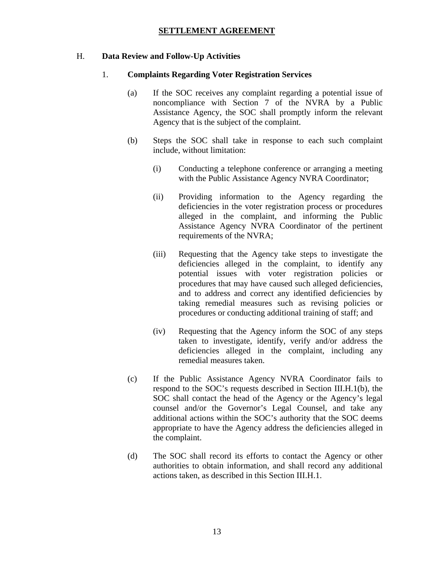### H. **Data Review and Follow-Up Activities**

#### 1. **Complaints Regarding Voter Registration Services**

- (a) If the SOC receives any complaint regarding a potential issue of noncompliance with Section 7 of the NVRA by a Public Assistance Agency, the SOC shall promptly inform the relevant Agency that is the subject of the complaint.
- (b) Steps the SOC shall take in response to each such complaint include, without limitation:
	- (i) Conducting a telephone conference or arranging a meeting with the Public Assistance Agency NVRA Coordinator;
	- (ii) Providing information to the Agency regarding the deficiencies in the voter registration process or procedures alleged in the complaint, and informing the Public Assistance Agency NVRA Coordinator of the pertinent requirements of the NVRA;
	- (iii) Requesting that the Agency take steps to investigate the deficiencies alleged in the complaint, to identify any potential issues with voter registration policies or procedures that may have caused such alleged deficiencies, and to address and correct any identified deficiencies by taking remedial measures such as revising policies or procedures or conducting additional training of staff; and
	- (iv) Requesting that the Agency inform the SOC of any steps taken to investigate, identify, verify and/or address the deficiencies alleged in the complaint, including any remedial measures taken.
- (c) If the Public Assistance Agency NVRA Coordinator fails to respond to the SOC's requests described in Section III.H.1(b), the SOC shall contact the head of the Agency or the Agency's legal counsel and/or the Governor's Legal Counsel, and take any additional actions within the SOC's authority that the SOC deems appropriate to have the Agency address the deficiencies alleged in the complaint.
- (d) The SOC shall record its efforts to contact the Agency or other authorities to obtain information, and shall record any additional actions taken, as described in this Section III.H.1.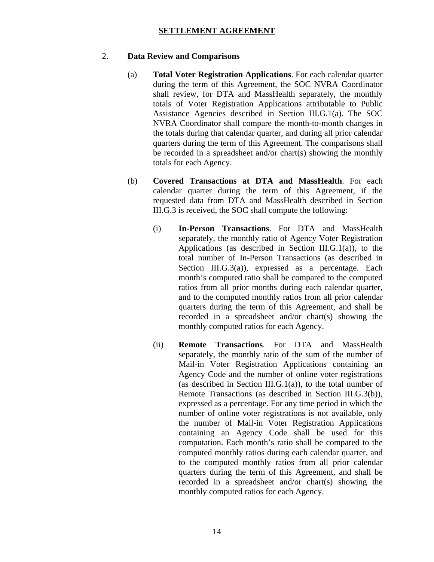# 2. **Data Review and Comparisons**

- (a) **Total Voter Registration Applications**. For each calendar quarter during the term of this Agreement, the SOC NVRA Coordinator shall review, for DTA and MassHealth separately, the monthly totals of Voter Registration Applications attributable to Public Assistance Agencies described in Section III.G.1(a). The SOC NVRA Coordinator shall compare the month-to-month changes in the totals during that calendar quarter, and during all prior calendar quarters during the term of this Agreement. The comparisons shall be recorded in a spreadsheet and/or chart(s) showing the monthly totals for each Agency.
- (b) **Covered Transactions at DTA and MassHealth**. For each calendar quarter during the term of this Agreement, if the requested data from DTA and MassHealth described in Section III.G.3 is received, the SOC shall compute the following:
	- (i) **In-Person Transactions**. For DTA and MassHealth separately, the monthly ratio of Agency Voter Registration Applications (as described in Section III.G.1(a)), to the total number of In-Person Transactions (as described in Section III.G.3(a)), expressed as a percentage. Each month's computed ratio shall be compared to the computed ratios from all prior months during each calendar quarter, and to the computed monthly ratios from all prior calendar quarters during the term of this Agreement, and shall be recorded in a spreadsheet and/or chart(s) showing the monthly computed ratios for each Agency.
	- (ii) **Remote Transactions**. For DTA and MassHealth separately, the monthly ratio of the sum of the number of Mail-in Voter Registration Applications containing an Agency Code and the number of online voter registrations (as described in Section III.G.1(a)), to the total number of Remote Transactions (as described in Section III.G.3(b)), expressed as a percentage. For any time period in which the number of online voter registrations is not available, only the number of Mail-in Voter Registration Applications containing an Agency Code shall be used for this computation. Each month's ratio shall be compared to the computed monthly ratios during each calendar quarter, and to the computed monthly ratios from all prior calendar quarters during the term of this Agreement, and shall be recorded in a spreadsheet and/or chart(s) showing the monthly computed ratios for each Agency.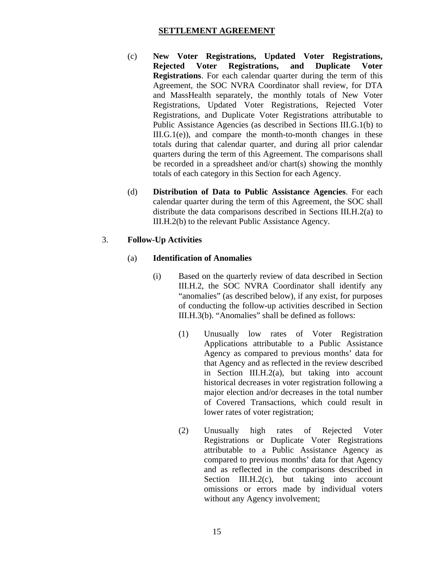- (c) **New Voter Registrations, Updated Voter Registrations, Rejected Voter Registrations, and Duplicate Voter Registrations**. For each calendar quarter during the term of this Agreement, the SOC NVRA Coordinator shall review, for DTA and MassHealth separately, the monthly totals of New Voter Registrations, Updated Voter Registrations, Rejected Voter Registrations, and Duplicate Voter Registrations attributable to Public Assistance Agencies (as described in Sections III.G.1(b) to  $III.G.1(e)$ , and compare the month-to-month changes in these totals during that calendar quarter, and during all prior calendar quarters during the term of this Agreement. The comparisons shall be recorded in a spreadsheet and/or chart(s) showing the monthly totals of each category in this Section for each Agency.
- (d) **Distribution of Data to Public Assistance Agencies**. For each calendar quarter during the term of this Agreement, the SOC shall distribute the data comparisons described in Sections III.H.2(a) to III.H.2(b) to the relevant Public Assistance Agency.

### 3. **Follow-Up Activities**

#### (a) **Identification of Anomalies**

- (i) Based on the quarterly review of data described in Section III.H.2, the SOC NVRA Coordinator shall identify any "anomalies" (as described below), if any exist, for purposes of conducting the follow-up activities described in Section III.H.3(b). "Anomalies" shall be defined as follows:
	- (1) Unusually low rates of Voter Registration Applications attributable to a Public Assistance Agency as compared to previous months' data for that Agency and as reflected in the review described in Section III.H.2(a), but taking into account historical decreases in voter registration following a major election and/or decreases in the total number of Covered Transactions, which could result in lower rates of voter registration;
	- (2) Unusually high rates of Rejected Voter Registrations or Duplicate Voter Registrations attributable to a Public Assistance Agency as compared to previous months' data for that Agency and as reflected in the comparisons described in Section III.H.2(c), but taking into account omissions or errors made by individual voters without any Agency involvement;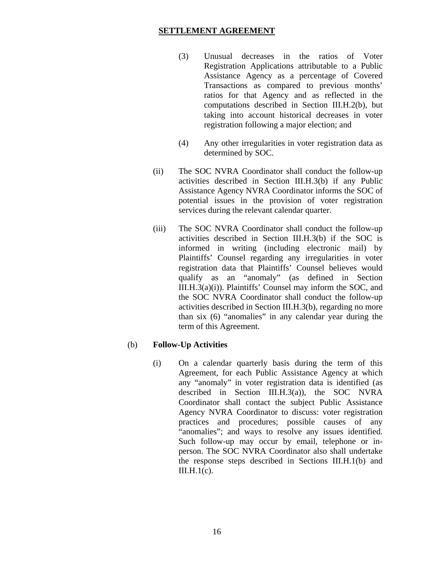- (3) Unusual decreases in the ratios of Voter Registration Applications attributable to a Public Assistance Agency as a percentage of Covered Transactions as compared to previous months' ratios for that Agency and as reflected in the computations described in Section III.H.2(b), but taking into account historical decreases in voter registration following a major election; and
- (4) Any other irregularities in voter registration data as determined by SOC.
- (ii) The SOC NVRA Coordinator shall conduct the follow-up activities described in Section III.H.3(b) if any Public Assistance Agency NVRA Coordinator informs the SOC of potential issues in the provision of voter registration services during the relevant calendar quarter.
- (iii) The SOC NVRA Coordinator shall conduct the follow-up activities described in Section III.H.3(b) if the SOC is informed in writing (including electronic mail) by Plaintiffs' Counsel regarding any irregularities in voter registration data that Plaintiffs' Counsel believes would qualify as an "anomaly" (as defined in Section III.H.3(a)(i)). Plaintiffs' Counsel may inform the SOC, and the SOC NVRA Coordinator shall conduct the follow-up activities described in Section III.H.3(b), regarding no more than six (6) "anomalies" in any calendar year during the term of this Agreement.

### (b) **Follow-Up Activities**

(i) On a calendar quarterly basis during the term of this Agreement, for each Public Assistance Agency at which any "anomaly" in voter registration data is identified (as described in Section III.H.3(a)), the SOC NVRA Coordinator shall contact the subject Public Assistance Agency NVRA Coordinator to discuss: voter registration practices and procedures; possible causes of any "anomalies"; and ways to resolve any issues identified. Such follow-up may occur by email, telephone or inperson. The SOC NVRA Coordinator also shall undertake the response steps described in Sections III.H.1(b) and  $III.H.1(c)$ .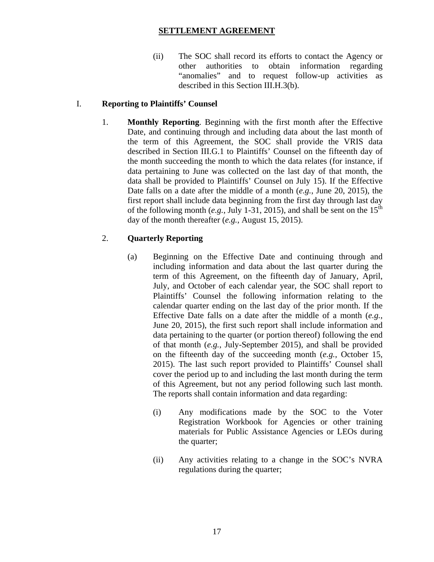(ii) The SOC shall record its efforts to contact the Agency or other authorities to obtain information regarding "anomalies" and to request follow-up activities as described in this Section III.H.3(b).

## I. **Reporting to Plaintiffs' Counsel**

1. **Monthly Reporting**. Beginning with the first month after the Effective Date, and continuing through and including data about the last month of the term of this Agreement, the SOC shall provide the VRIS data described in Section III.G.1 to Plaintiffs' Counsel on the fifteenth day of the month succeeding the month to which the data relates (for instance, if data pertaining to June was collected on the last day of that month, the data shall be provided to Plaintiffs' Counsel on July 15). If the Effective Date falls on a date after the middle of a month (*e.g.*, June 20, 2015), the first report shall include data beginning from the first day through last day of the following month (*e.g.*, July 1-31, 2015), and shall be sent on the  $15<sup>th</sup>$ day of the month thereafter (*e.g.*, August 15, 2015).

# 2. **Quarterly Reporting**

- (a) Beginning on the Effective Date and continuing through and including information and data about the last quarter during the term of this Agreement, on the fifteenth day of January, April, July, and October of each calendar year, the SOC shall report to Plaintiffs' Counsel the following information relating to the calendar quarter ending on the last day of the prior month. If the Effective Date falls on a date after the middle of a month (*e.g.*, June 20, 2015), the first such report shall include information and data pertaining to the quarter (or portion thereof) following the end of that month (*e.g.*, July-September 2015), and shall be provided on the fifteenth day of the succeeding month (*e.g.*, October 15, 2015). The last such report provided to Plaintiffs' Counsel shall cover the period up to and including the last month during the term of this Agreement, but not any period following such last month. The reports shall contain information and data regarding:
	- (i) Any modifications made by the SOC to the Voter Registration Workbook for Agencies or other training materials for Public Assistance Agencies or LEOs during the quarter;
	- (ii) Any activities relating to a change in the SOC's NVRA regulations during the quarter;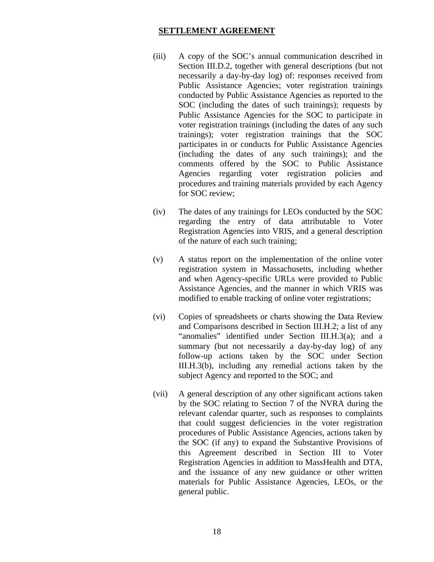- (iii) A copy of the SOC's annual communication described in Section III.D.2, together with general descriptions (but not necessarily a day-by-day log) of: responses received from Public Assistance Agencies; voter registration trainings conducted by Public Assistance Agencies as reported to the SOC (including the dates of such trainings); requests by Public Assistance Agencies for the SOC to participate in voter registration trainings (including the dates of any such trainings); voter registration trainings that the SOC participates in or conducts for Public Assistance Agencies (including the dates of any such trainings); and the comments offered by the SOC to Public Assistance Agencies regarding voter registration policies and procedures and training materials provided by each Agency for SOC review;
- (iv) The dates of any trainings for LEOs conducted by the SOC regarding the entry of data attributable to Voter Registration Agencies into VRIS, and a general description of the nature of each such training;
- (v) A status report on the implementation of the online voter registration system in Massachusetts, including whether and when Agency-specific URLs were provided to Public Assistance Agencies, and the manner in which VRIS was modified to enable tracking of online voter registrations;
- (vi) Copies of spreadsheets or charts showing the Data Review and Comparisons described in Section III.H.2; a list of any "anomalies" identified under Section III.H.3(a); and a summary (but not necessarily a day-by-day log) of any follow-up actions taken by the SOC under Section III.H.3(b), including any remedial actions taken by the subject Agency and reported to the SOC; and
- (vii) A general description of any other significant actions taken by the SOC relating to Section 7 of the NVRA during the relevant calendar quarter, such as responses to complaints that could suggest deficiencies in the voter registration procedures of Public Assistance Agencies, actions taken by the SOC (if any) to expand the Substantive Provisions of this Agreement described in Section III to Voter Registration Agencies in addition to MassHealth and DTA, and the issuance of any new guidance or other written materials for Public Assistance Agencies, LEOs, or the general public.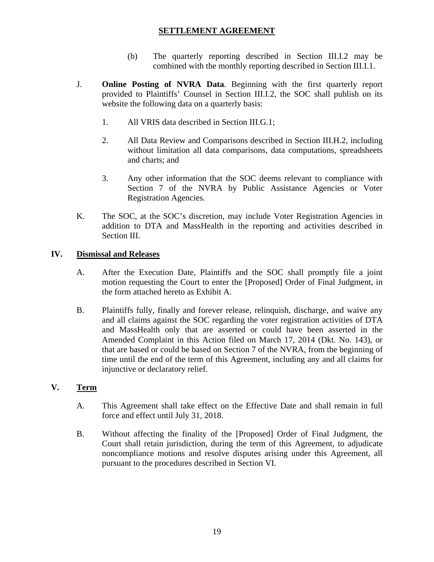- (b) The quarterly reporting described in Section III.I.2 may be combined with the monthly reporting described in Section III.I.1.
- J. **Online Posting of NVRA Data**. Beginning with the first quarterly report provided to Plaintiffs' Counsel in Section III.I.2, the SOC shall publish on its website the following data on a quarterly basis:
	- 1. All VRIS data described in Section III.G.1;
	- 2. All Data Review and Comparisons described in Section III.H.2, including without limitation all data comparisons, data computations, spreadsheets and charts; and
	- 3. Any other information that the SOC deems relevant to compliance with Section 7 of the NVRA by Public Assistance Agencies or Voter Registration Agencies.
- K. The SOC, at the SOC's discretion, may include Voter Registration Agencies in addition to DTA and MassHealth in the reporting and activities described in Section III.

### **IV. Dismissal and Releases**

- A. After the Execution Date, Plaintiffs and the SOC shall promptly file a joint motion requesting the Court to enter the [Proposed] Order of Final Judgment, in the form attached hereto as Exhibit A.
- B. Plaintiffs fully, finally and forever release, relinquish, discharge, and waive any and all claims against the SOC regarding the voter registration activities of DTA and MassHealth only that are asserted or could have been asserted in the Amended Complaint in this Action filed on March 17, 2014 (Dkt. No. 143), or that are based or could be based on Section 7 of the NVRA, from the beginning of time until the end of the term of this Agreement, including any and all claims for injunctive or declaratory relief.

### **V. Term**

- A. This Agreement shall take effect on the Effective Date and shall remain in full force and effect until July 31, 2018.
- B. Without affecting the finality of the [Proposed] Order of Final Judgment, the Court shall retain jurisdiction, during the term of this Agreement, to adjudicate noncompliance motions and resolve disputes arising under this Agreement, all pursuant to the procedures described in Section VI.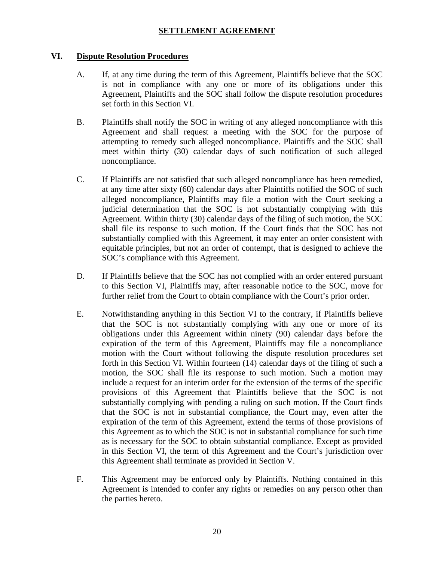#### **VI. Dispute Resolution Procedures**

- A. If, at any time during the term of this Agreement, Plaintiffs believe that the SOC is not in compliance with any one or more of its obligations under this Agreement, Plaintiffs and the SOC shall follow the dispute resolution procedures set forth in this Section VI.
- B. Plaintiffs shall notify the SOC in writing of any alleged noncompliance with this Agreement and shall request a meeting with the SOC for the purpose of attempting to remedy such alleged noncompliance. Plaintiffs and the SOC shall meet within thirty (30) calendar days of such notification of such alleged noncompliance.
- C. If Plaintiffs are not satisfied that such alleged noncompliance has been remedied, at any time after sixty (60) calendar days after Plaintiffs notified the SOC of such alleged noncompliance, Plaintiffs may file a motion with the Court seeking a judicial determination that the SOC is not substantially complying with this Agreement. Within thirty (30) calendar days of the filing of such motion, the SOC shall file its response to such motion. If the Court finds that the SOC has not substantially complied with this Agreement, it may enter an order consistent with equitable principles, but not an order of contempt, that is designed to achieve the SOC's compliance with this Agreement.
- D. If Plaintiffs believe that the SOC has not complied with an order entered pursuant to this Section VI, Plaintiffs may, after reasonable notice to the SOC, move for further relief from the Court to obtain compliance with the Court's prior order.
- E. Notwithstanding anything in this Section VI to the contrary, if Plaintiffs believe that the SOC is not substantially complying with any one or more of its obligations under this Agreement within ninety (90) calendar days before the expiration of the term of this Agreement, Plaintiffs may file a noncompliance motion with the Court without following the dispute resolution procedures set forth in this Section VI. Within fourteen (14) calendar days of the filing of such a motion, the SOC shall file its response to such motion. Such a motion may include a request for an interim order for the extension of the terms of the specific provisions of this Agreement that Plaintiffs believe that the SOC is not substantially complying with pending a ruling on such motion. If the Court finds that the SOC is not in substantial compliance, the Court may, even after the expiration of the term of this Agreement, extend the terms of those provisions of this Agreement as to which the SOC is not in substantial compliance for such time as is necessary for the SOC to obtain substantial compliance. Except as provided in this Section VI, the term of this Agreement and the Court's jurisdiction over this Agreement shall terminate as provided in Section V.
- F. This Agreement may be enforced only by Plaintiffs. Nothing contained in this Agreement is intended to confer any rights or remedies on any person other than the parties hereto.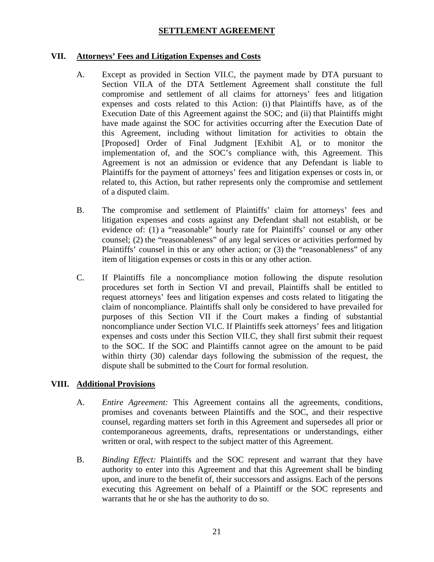#### **VII. Attorneys' Fees and Litigation Expenses and Costs**

- A. Except as provided in Section VII.C, the payment made by DTA pursuant to Section VII.A of the DTA Settlement Agreement shall constitute the full compromise and settlement of all claims for attorneys' fees and litigation expenses and costs related to this Action: (i) that Plaintiffs have, as of the Execution Date of this Agreement against the SOC; and (ii) that Plaintiffs might have made against the SOC for activities occurring after the Execution Date of this Agreement, including without limitation for activities to obtain the [Proposed] Order of Final Judgment [Exhibit A], or to monitor the implementation of, and the SOC's compliance with, this Agreement. This Agreement is not an admission or evidence that any Defendant is liable to Plaintiffs for the payment of attorneys' fees and litigation expenses or costs in, or related to, this Action, but rather represents only the compromise and settlement of a disputed claim.
- B. The compromise and settlement of Plaintiffs' claim for attorneys' fees and litigation expenses and costs against any Defendant shall not establish, or be evidence of: (1) a "reasonable" hourly rate for Plaintiffs' counsel or any other counsel; (2) the "reasonableness" of any legal services or activities performed by Plaintiffs' counsel in this or any other action; or (3) the "reasonableness" of any item of litigation expenses or costs in this or any other action.
- C. If Plaintiffs file a noncompliance motion following the dispute resolution procedures set forth in Section VI and prevail, Plaintiffs shall be entitled to request attorneys' fees and litigation expenses and costs related to litigating the claim of noncompliance. Plaintiffs shall only be considered to have prevailed for purposes of this Section VII if the Court makes a finding of substantial noncompliance under Section VI.C. If Plaintiffs seek attorneys' fees and litigation expenses and costs under this Section VII.C, they shall first submit their request to the SOC. If the SOC and Plaintiffs cannot agree on the amount to be paid within thirty (30) calendar days following the submission of the request, the dispute shall be submitted to the Court for formal resolution.

### **VIII. Additional Provisions**

- A. *Entire Agreement:* This Agreement contains all the agreements, conditions, promises and covenants between Plaintiffs and the SOC, and their respective counsel, regarding matters set forth in this Agreement and supersedes all prior or contemporaneous agreements, drafts, representations or understandings, either written or oral, with respect to the subject matter of this Agreement.
- B. *Binding Effect:* Plaintiffs and the SOC represent and warrant that they have authority to enter into this Agreement and that this Agreement shall be binding upon, and inure to the benefit of, their successors and assigns. Each of the persons executing this Agreement on behalf of a Plaintiff or the SOC represents and warrants that he or she has the authority to do so.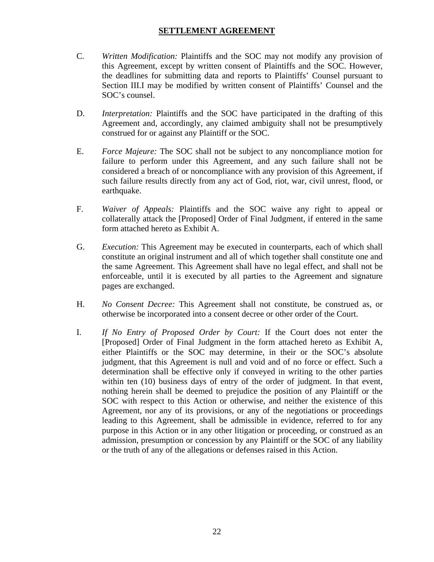- C. *Written Modification:* Plaintiffs and the SOC may not modify any provision of this Agreement, except by written consent of Plaintiffs and the SOC. However, the deadlines for submitting data and reports to Plaintiffs' Counsel pursuant to Section III.I may be modified by written consent of Plaintiffs' Counsel and the SOC's counsel.
- D. *Interpretation:* Plaintiffs and the SOC have participated in the drafting of this Agreement and, accordingly, any claimed ambiguity shall not be presumptively construed for or against any Plaintiff or the SOC.
- E. *Force Majeure:* The SOC shall not be subject to any noncompliance motion for failure to perform under this Agreement, and any such failure shall not be considered a breach of or noncompliance with any provision of this Agreement, if such failure results directly from any act of God, riot, war, civil unrest, flood, or earthquake.
- F. *Waiver of Appeals:* Plaintiffs and the SOC waive any right to appeal or collaterally attack the [Proposed] Order of Final Judgment, if entered in the same form attached hereto as Exhibit A.
- G. *Execution:* This Agreement may be executed in counterparts, each of which shall constitute an original instrument and all of which together shall constitute one and the same Agreement. This Agreement shall have no legal effect, and shall not be enforceable, until it is executed by all parties to the Agreement and signature pages are exchanged.
- H. *No Consent Decree:* This Agreement shall not constitute, be construed as, or otherwise be incorporated into a consent decree or other order of the Court.
- I. *If No Entry of Proposed Order by Court:* If the Court does not enter the [Proposed] Order of Final Judgment in the form attached hereto as Exhibit A, either Plaintiffs or the SOC may determine, in their or the SOC's absolute judgment, that this Agreement is null and void and of no force or effect. Such a determination shall be effective only if conveyed in writing to the other parties within ten (10) business days of entry of the order of judgment. In that event, nothing herein shall be deemed to prejudice the position of any Plaintiff or the SOC with respect to this Action or otherwise, and neither the existence of this Agreement, nor any of its provisions, or any of the negotiations or proceedings leading to this Agreement, shall be admissible in evidence, referred to for any purpose in this Action or in any other litigation or proceeding, or construed as an admission, presumption or concession by any Plaintiff or the SOC of any liability or the truth of any of the allegations or defenses raised in this Action.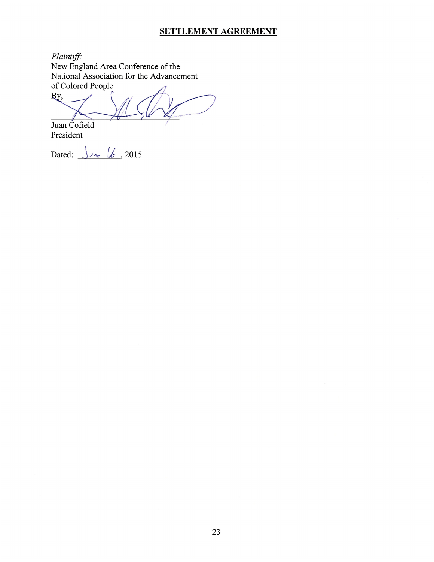Plaintiff: New England Area Conference of the National Association for the Advancement of Colored People By,

Juan Cofield President

Dated:  $\sqrt{\varkappa}$   $\left|b\right|$ , 2015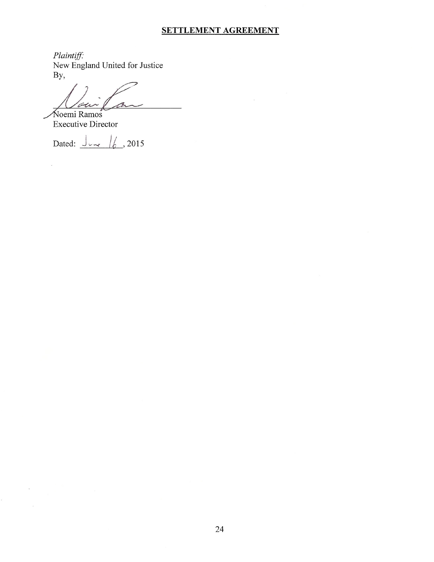$\bar{\chi}$ 

Plaintiff:<br>New England United for Justice By,

ar

Noemi Ramos **Executive Director** 

 $\bar{\omega}$ 

 $\sim$ 

Dated:  $\frac{\int_{\text{u.e.}} \int_{\text{v}} 2015}{\int_{\text{u.s.}} 2015}$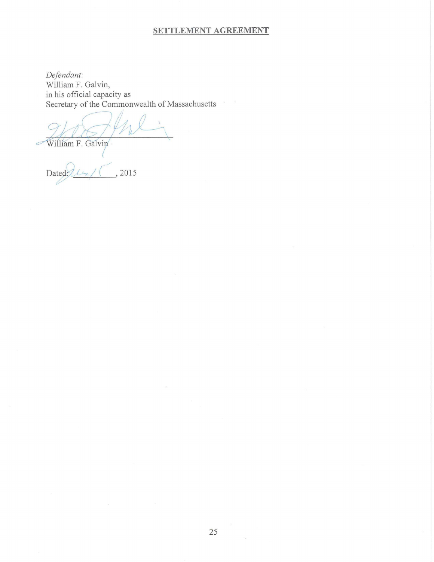*Defendant:*  William F. Galvin, in his official capacity as Secretary of the Commonwealth of Massachusetts

William F. Galvin

2015 Dated:

 $\epsilon$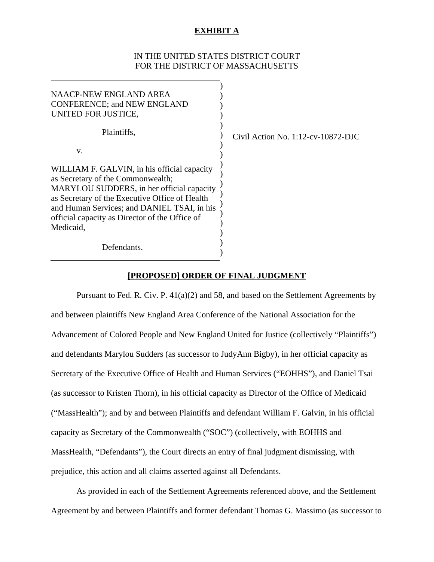### **EXHIBIT A**

#### IN THE UNITED STATES DISTRICT COURT FOR THE DISTRICT OF MASSACHUSETTS

| NAACP-NEW ENGLAND AREA<br><b>CONFERENCE; and NEW ENGLAND</b><br>UNITED FOR JUSTICE,                                                                                                                                                                                                                 |                                       |
|-----------------------------------------------------------------------------------------------------------------------------------------------------------------------------------------------------------------------------------------------------------------------------------------------------|---------------------------------------|
| Plaintiffs,                                                                                                                                                                                                                                                                                         | Civil Action No. $1:12$ -cv-10872-DJC |
| V.<br>WILLIAM F. GALVIN, in his official capacity<br>as Secretary of the Commonwealth;<br>MARYLOU SUDDERS, in her official capacity<br>as Secretary of the Executive Office of Health<br>and Human Services; and DANIEL TSAI, in his<br>official capacity as Director of the Office of<br>Medicaid, |                                       |
| Defendants.                                                                                                                                                                                                                                                                                         |                                       |

#### **[PROPOSED] ORDER OF FINAL JUDGMENT**

Pursuant to Fed. R. Civ. P. 41(a)(2) and 58, and based on the Settlement Agreements by and between plaintiffs New England Area Conference of the National Association for the Advancement of Colored People and New England United for Justice (collectively "Plaintiffs") and defendants Marylou Sudders (as successor to JudyAnn Bigby), in her official capacity as Secretary of the Executive Office of Health and Human Services ("EOHHS"), and Daniel Tsai (as successor to Kristen Thorn), in his official capacity as Director of the Office of Medicaid ("MassHealth"); and by and between Plaintiffs and defendant William F. Galvin, in his official capacity as Secretary of the Commonwealth ("SOC") (collectively, with EOHHS and MassHealth, "Defendants"), the Court directs an entry of final judgment dismissing, with prejudice, this action and all claims asserted against all Defendants.

As provided in each of the Settlement Agreements referenced above, and the Settlement Agreement by and between Plaintiffs and former defendant Thomas G. Massimo (as successor to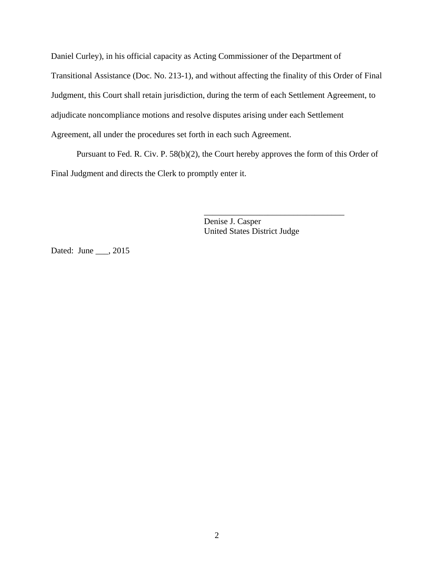Daniel Curley), in his official capacity as Acting Commissioner of the Department of Transitional Assistance (Doc. No. 213-1), and without affecting the finality of this Order of Final Judgment, this Court shall retain jurisdiction, during the term of each Settlement Agreement, to adjudicate noncompliance motions and resolve disputes arising under each Settlement Agreement, all under the procedures set forth in each such Agreement.

Pursuant to Fed. R. Civ. P. 58(b)(2), the Court hereby approves the form of this Order of Final Judgment and directs the Clerk to promptly enter it.

 $\overline{\phantom{a}}$  , which is a set of the set of the set of the set of the set of the set of the set of the set of the set of the set of the set of the set of the set of the set of the set of the set of the set of the set of th

 Denise J. Casper United States District Judge

Dated: June \_\_\_, 2015